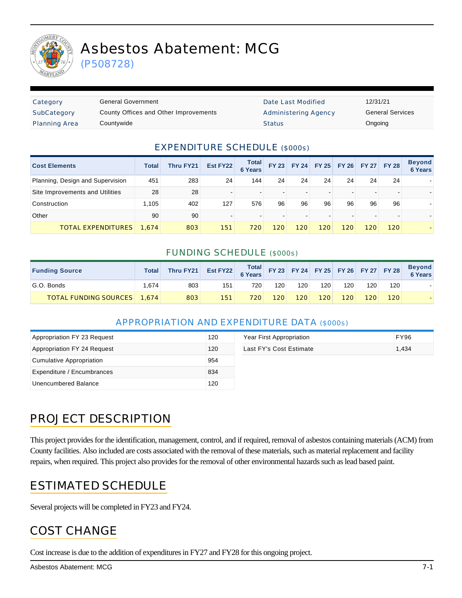

# Asbestos Abatement: MCG

(P508728)

| Category             | General Government                    | Date Last Modified   | 12/31/21 |
|----------------------|---------------------------------------|----------------------|----------|
| SubCategory          | County Offices and Other Improvements | Administering Agency | General  |
| <b>Planning Area</b> | Countywide                            | <b>Status</b>        | Ongoing  |

Date Last Modified 12/31/21 Administering Agency **General Services** 

#### EXPENDITURE SCHEDULE (\$000s)

| <b>Cost Elements</b>             | <b>Total</b> | <b>Thru FY21</b> | Est FY22 | <b>Total</b><br><b>6 Years</b> | <b>FY 23</b> | FY 24 | <b>FY 25</b> | <b>FY 26</b> |     | FY 27 FY 28 | <b>Beyond</b><br><b>6 Years</b> |
|----------------------------------|--------------|------------------|----------|--------------------------------|--------------|-------|--------------|--------------|-----|-------------|---------------------------------|
| Planning, Design and Supervision | 451          | 283              | 24       | 144                            | 24           | 24    | 24           | 24           | 24  | 24          |                                 |
| Site Improvements and Utilities  | 28           | 28               |          | $\overline{\phantom{0}}$       |              |       |              |              |     |             |                                 |
| Construction                     | l.105        | 402              | 127      | 576                            | 96           | 96    | 96           | 96           | 96  | 96          |                                 |
| Other                            | 90           | 90               |          | $\overline{\phantom{0}}$       |              |       |              |              |     |             |                                 |
| TOTAL EXPENDITURES               | 1.674        | 803              | 151      | 720                            | 120          | 120   | 120          | 120          | 120 | 120         |                                 |

#### FUNDING SCHEDULE (\$000s)

| <b>Funding Source</b>              | Total | Thru FY21 | Est FY22 Total FY 23 FY 24 FY 25 FY 26 FY 27 FY 28 |     |     |     |     |     |     |     | <b>Beyond</b><br>6 Years |
|------------------------------------|-------|-----------|----------------------------------------------------|-----|-----|-----|-----|-----|-----|-----|--------------------------|
| G.O. Bonds                         | .674  | 803       | 151                                                | 720 | 120 | 120 | 120 | 120 | 120 | 120 |                          |
| <b>TOTAL FUNDING SOURCES</b> 1.674 |       | 803       | 151                                                | 720 | 120 | 120 | 120 | 120 | 120 | 120 |                          |

#### APPROPRIATION AND EXPENDITURE DATA (\$000s)

| Appropriation FY 23 Request | 120 | Year First Appropriation | FY96  |
|-----------------------------|-----|--------------------------|-------|
| Appropriation FY 24 Request | 120 | Last FY's Cost Estimate  | 1.434 |
| Cumulative Appropriation    | 954 |                          |       |
| Expenditure / Encumbrances  | 834 |                          |       |
| Unencumbered Balance        | 120 |                          |       |

| Year First Appropriation | FY96  |
|--------------------------|-------|
| Last FY's Cost Estimate  | 1.434 |

## PROJECT DESCRIPTION

This project provides for the identification, management, control, and if required, removal of asbestos containing materials (ACM) from County facilities. Also included are costs associated with the removal of these materials, such as material replacement and facility repairs, when required. This project also provides for the removal of other environmental hazards such as lead based paint.

#### ESTIMATED SCHEDULE

Several projects will be completed in FY23 and FY24.

#### COST CHANGE

Cost increase is due to the addition of expenditures in FY27 and FY28 for this ongoing project.